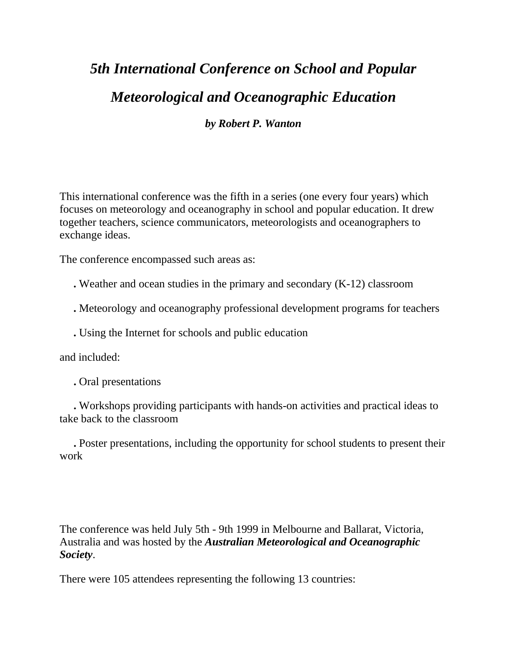# *5th International Conference on School and Popular Meteorological and Oceanographic Education by Robert P. Wanton*

This international conference was the fifth in a series (one every four years) which focuses on meteorology and oceanography in school and popular education. It drew together teachers, science communicators, meteorologists and oceanographers to exchange ideas.

The conference encompassed such areas as:

**.** Weather and ocean studies in the primary and secondary (K-12) classroom

**.** Meteorology and oceanography professional development programs for teachers

**.** Using the Internet for schools and public education

and included:

 **.** Oral presentations

 **.** Workshops providing participants with hands-on activities and practical ideas to take back to the classroom

 **.** Poster presentations, including the opportunity for school students to present their work

The conference was held July 5th - 9th 1999 in Melbourne and Ballarat, Victoria, Australia and was hosted by the *Australian Meteorological and Oceanographic Society*.

There were 105 attendees representing the following 13 countries: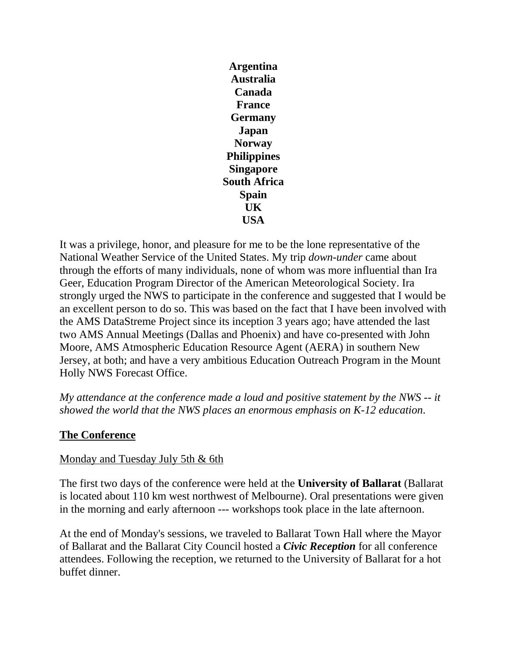**Argentina Australia Canada France Germany Japan Norway Philippines Singapore South Africa Spain UK USA**

It was a privilege, honor, and pleasure for me to be the lone representative of the National Weather Service of the United States. My trip *down-under* came about through the efforts of many individuals, none of whom was more influential than Ira Geer, Education Program Director of the American Meteorological Society. Ira strongly urged the NWS to participate in the conference and suggested that I would be an excellent person to do so. This was based on the fact that I have been involved with the AMS DataStreme Project since its inception 3 years ago; have attended the last two AMS Annual Meetings (Dallas and Phoenix) and have co-presented with John Moore, AMS Atmospheric Education Resource Agent (AERA) in southern New Jersey, at both; and have a very ambitious Education Outreach Program in the Mount Holly NWS Forecast Office.

*My attendance at the conference made a loud and positive statement by the NWS -- it showed the world that the NWS places an enormous emphasis on K-12 education*.

### **The Conference**

### Monday and Tuesday July 5th & 6th

The first two days of the conference were held at the **University of Ballarat** (Ballarat is located about 110 km west northwest of Melbourne). Oral presentations were given in the morning and early afternoon --- workshops took place in the late afternoon.

At the end of Monday's sessions, we traveled to Ballarat Town Hall where the Mayor of Ballarat and the Ballarat City Council hosted a *Civic Reception* for all conference attendees. Following the reception, we returned to the University of Ballarat for a hot buffet dinner.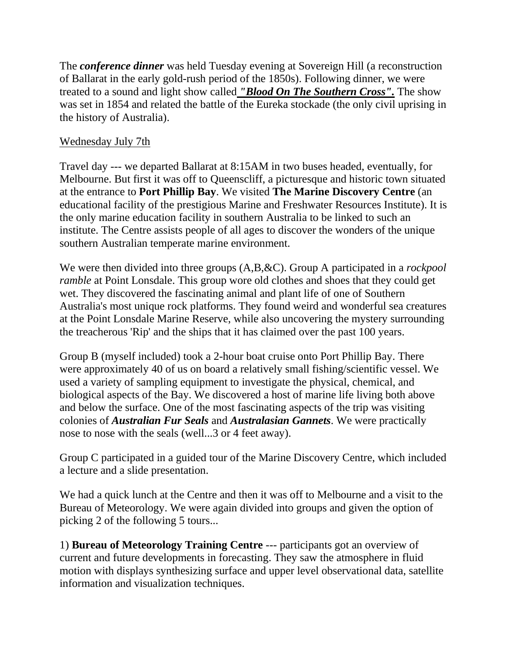The *conference dinner* was held Tuesday evening at Sovereign Hill (a reconstruction of Ballarat in the early gold-rush period of the 1850s). Following dinner, we were treated to a sound and light show called *"Blood On The Southern Cross".* The show was set in 1854 and related the battle of the Eureka stockade (the only civil uprising in the history of Australia).

### Wednesday July 7th

Travel day --- we departed Ballarat at 8:15AM in two buses headed, eventually, for Melbourne. But first it was off to Queenscliff, a picturesque and historic town situated at the entrance to **Port Phillip Bay**. We visited **The Marine Discovery Centre** (an educational facility of the prestigious Marine and Freshwater Resources Institute). It is the only marine education facility in southern Australia to be linked to such an institute. The Centre assists people of all ages to discover the wonders of the unique southern Australian temperate marine environment.

We were then divided into three groups (A,B,&C). Group A participated in a *rockpool ramble* at Point Lonsdale. This group wore old clothes and shoes that they could get wet. They discovered the fascinating animal and plant life of one of Southern Australia's most unique rock platforms. They found weird and wonderful sea creatures at the Point Lonsdale Marine Reserve, while also uncovering the mystery surrounding the treacherous 'Rip' and the ships that it has claimed over the past 100 years.

Group B (myself included) took a 2-hour boat cruise onto Port Phillip Bay. There were approximately 40 of us on board a relatively small fishing/scientific vessel. We used a variety of sampling equipment to investigate the physical, chemical, and biological aspects of the Bay. We discovered a host of marine life living both above and below the surface. One of the most fascinating aspects of the trip was visiting colonies of *Australian Fur Seals* and *Australasian Gannets*. We were practically nose to nose with the seals (well...3 or 4 feet away).

Group C participated in a guided tour of the Marine Discovery Centre, which included a lecture and a slide presentation.

We had a quick lunch at the Centre and then it was off to Melbourne and a visit to the Bureau of Meteorology. We were again divided into groups and given the option of picking 2 of the following 5 tours...

1) **Bureau of Meteorology Training Centre** --- participants got an overview of current and future developments in forecasting. They saw the atmosphere in fluid motion with displays synthesizing surface and upper level observational data, satellite information and visualization techniques.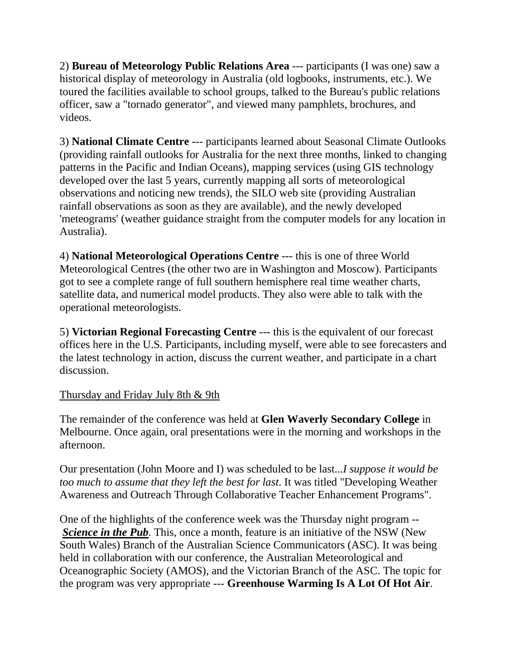2) **Bureau of Meteorology Public Relations Area** --- participants (I was one) saw a historical display of meteorology in Australia (old logbooks, instruments, etc.). We toured the facilities available to school groups, talked to the Bureau's public relations officer, saw a "tornado generator", and viewed many pamphlets, brochures, and videos.

3) **National Climate Centre** --- participants learned about Seasonal Climate Outlooks (providing rainfall outlooks for Australia for the next three months, linked to changing patterns in the Pacific and Indian Oceans), mapping services (using GIS technology developed over the last 5 years, currently mapping all sorts of meteorological observations and noticing new trends), the SILO web site (providing Australian rainfall observations as soon as they are available), and the newly developed 'meteograms' (weather guidance straight from the computer models for any location in Australia).

4) **National Meteorological Operations Centre** --- this is one of three World Meteorological Centres (the other two are in Washington and Moscow). Participants got to see a complete range of full southern hemisphere real time weather charts, satellite data, and numerical model products. They also were able to talk with the operational meteorologists.

5) **Victorian Regional Forecasting Centre** --- this is the equivalent of our forecast offices here in the U.S. Participants, including myself, were able to see forecasters and the latest technology in action, discuss the current weather, and participate in a chart discussion.

### Thursday and Friday July 8th & 9th

The remainder of the conference was held at **Glen Waverly Secondary College** in Melbourne. Once again, oral presentations were in the morning and workshops in the afternoon.

Our presentation (John Moore and I) was scheduled to be last...*I suppose it would be too much to assume that they left the best for last*. It was titled "Developing Weather Awareness and Outreach Through Collaborative Teacher Enhancement Programs".

One of the highlights of the conference week was the Thursday night program -- *Science in the Pub.* This, once a month, feature is an initiative of the NSW (New South Wales) Branch of the Australian Science Communicators (ASC). It was being held in collaboration with our conference, the Australian Meteorological and Oceanographic Society (AMOS), and the Victorian Branch of the ASC. The topic for the program was very appropriate --- **Greenhouse Warming Is A Lot Of Hot Air**.